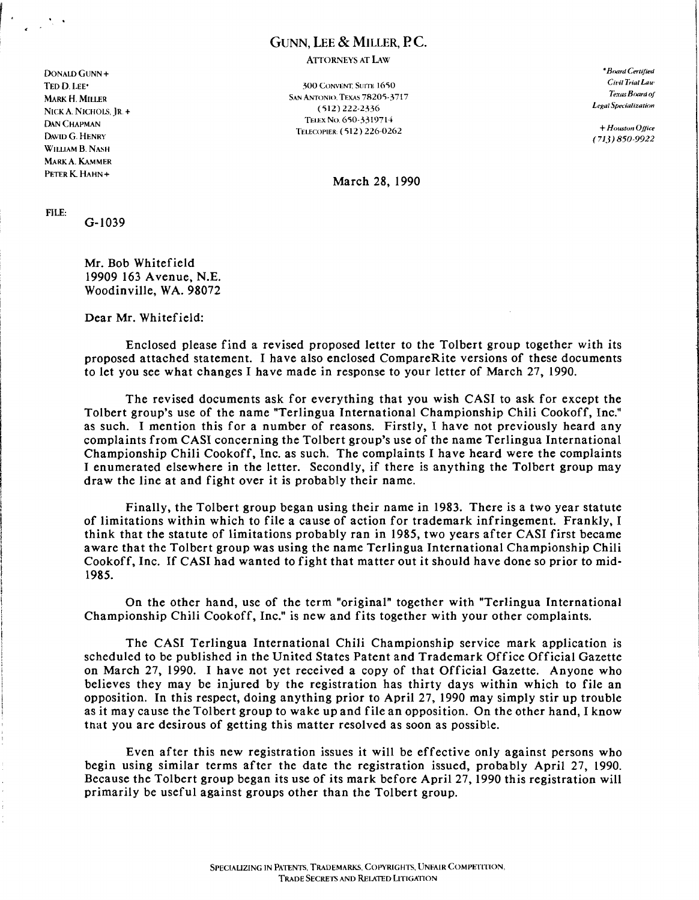## GUNN, LEE & MILLER, P.C.

ATTORNEYS AT LAw

DONALD GUNN + *•Board Certified*  MARK H. MILLER NICK A. NICHOLS, JR. + DAN CHAPMAN DAVID G. HENRY W[LLIAM B. NASH MARKA. KAMMER

TED D. LEE<sup>\*</sup> Civil Trial Law 300 CONVENT, SUITE 1650 SAN ANTONIO. TEXAS 7820S-3717 (512) 222-2336 TELEX No. 650-3319714 TEI.ECOPIER, (S[2) 226-0262 + *Houston Office* 

*Texas Board Of*  Legal Specialization

(713) 850-9922

PETER K. HAHN + March 28, 1990

FILE:

. ,

G-I039

Mr. Bob Whitefield 19909 163 Avenue, N.E. Woodinville, WA. 98072

Dear Mr. Whitefield:

Enclosed please find a revised proposed letter to the Tolbert group together with its proposed attached statement. I have also enclosed CompareRite versions of these documents to let you see what changes I have made in response to your letter of March 27, 1990.

The revised documents ask for everything that you wish CASI to ask for except the Tolbert group's use of the name "Terlingua International Championship Chili Cookoff, Inc." as such. I mention this for a number of reasons. Firstly, I have not previously heard any complaints from CASI concerning the Tolbert group's use of the name Terlingua International Championship Chili Cookoff, Inc. as such. The complaints I have heard were the complaints I enumerated elsewhere in the letter. Secondly, if there is anything the Tolbert group may draw the line at and fight over it is probably their name.

Finally, the Tolbert group began using their name in 1983. There is a two year statute of limitations within which to file a cause of action for trademark infringement. Frankly, I think that the statute of limitations probably ran in 1985, two years after CASI first became aware that the Tolbert group was using the name Terlingua International Championship Chili Cookoff, Inc. If CASI had wanted to fight that matter out it should have done so prior to mid-1985.

On the other hand, use of the term "original" together with "Terlingua International Championship Chili Cookoff, Inc." is new and fits together with your other complaints.

The CASI Terlingua International Chili Championship service mark application is scheduled to be published in the United States Patent and Trademark Office Official Gazette on March 27, 1990. I have not yet received a copy of that Official Gazette. Anyone who believes they may be injured by the registration has thirty days within which to file an opposition. In this respect, doing anything prior to April 27, 1990 may simply stir up trouble as it may cause the Tolbert group to wake up and file an opposition. On the other hand, I know tnat you are desirous of getting this matter resolved as soon as possible.

Even after this new registration issues it will be effective only against persons who begin using similar terms after the date the registration issued, probably April 27, 1990. Because the Tolbert group began its use of its mark before April 27, 1990 this registration will primarily be useful against groups other than the Tolbert group.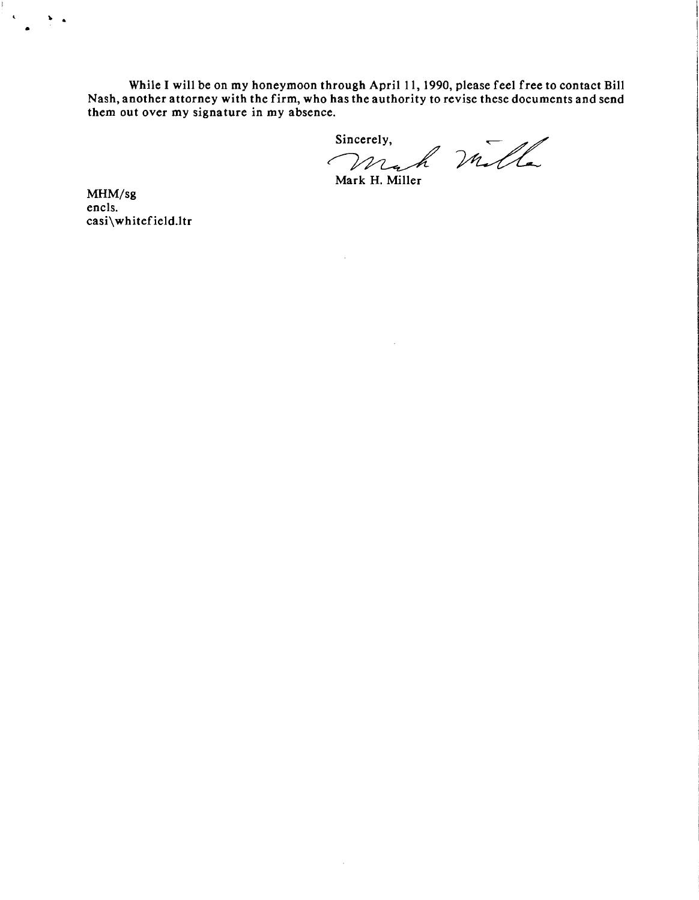While I will be on my honeymoon through April 11, 1990, please feel free to contact Bill Nash, another attorney with the firm, who has the authority to revise these documents and send them out over my signature in my absence. hrough April 11, 1990, please feel free to<br>has the authority to revise these docume<br>e.<br>Sincerely,<br> $M_{\bullet}$  Mulle

 $\mathcal{A}^{\mathcal{A}}$ 

 $\sim$ 

Mark H. Miller

MHM/sg encls. casi\whitefield.ltr

•

 $\mathbf{v}$  .

 $\overline{\mathbf{C}}$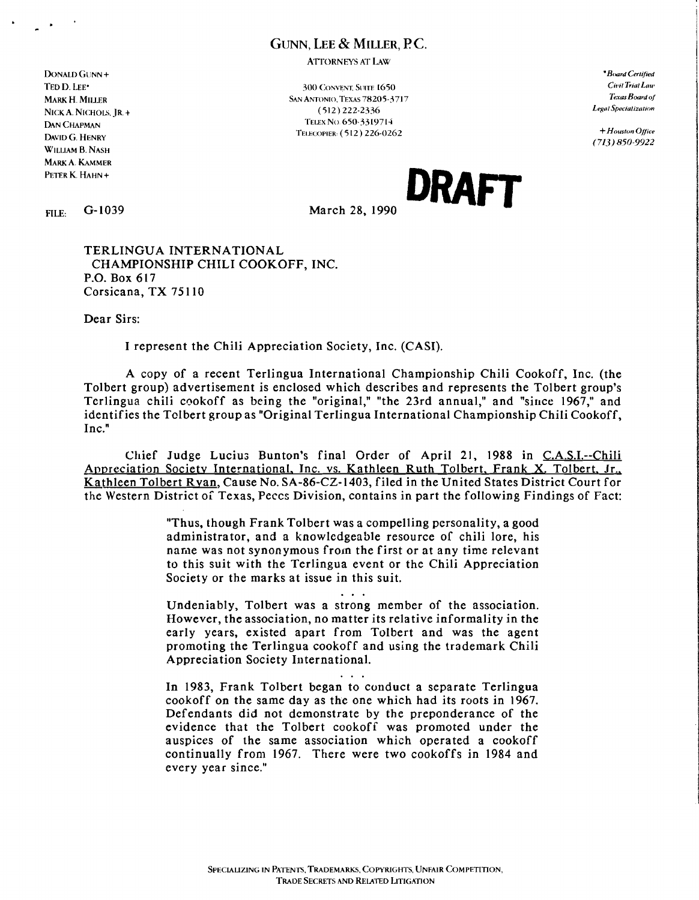## GUNN. LEE & MILLER. P.C.

**ATTORNEYS AT LAW** 

**300 CONVENT SUITE 1650 SAN ANTONIO. TEXAS 78205-3717**  $(512)$  222-2336 TELEX No. 650-3319714 TELECOPIER: (512) 226-0262

\*Board Certified Civil Trial Law Texas Board of Legal Specialization

 $+$  Houston Office  $(713)850-9922$ 

 $G-1039$ FILE:

DONALD GUNN  $\pm$ 

**MARK H. MILLER** 

**DAN CHAPMAN** 

DAVID G. HENRY

WILLIAM B. NASH MARK A. KAMMER PETER K. HAHN+

NICK A. NICHOLS IR  $+$ 

TED D. LEE<sup>+</sup>

March 28, 1990

DRAFT

TERLINGUA INTERNATIONAL CHAMPIONSHIP CHILI COOKOFF, INC. P.O. Box 617 Corsicana, TX 75110

Dear Sirs:

I represent the Chili Appreciation Society, Inc. (CASI).

A copy of a recent Terlingua International Championship Chili Cookoff, Inc. (the Tolbert group) advertisement is enclosed which describes and represents the Tolbert group's Terlingua chili cookoff as being the "original," "the 23rd annual," and "since 1967," and identifies the Tolbert group as "Original Terlingua International Championship Chili Cookoff,  $Inc$ <sup>"</sup>

Chief Judge Lucius Bunton's final Order of April 21, 1988 in C.A.S.I.--Chili Appreciation Society International, Inc. vs. Kathleen Ruth Tolbert, Frank X. Tolbert, Jr., Kathleen Tolbert Ryan, Cause No. SA-86-CZ-1403, filed in the United States District Court for the Western District of Texas, Peccs Division, contains in part the following Findings of Fact:

> "Thus, though Frank Tolbert was a compelling personality, a good administrator, and a knowledgeable resource of chili lore, his name was not synonymous from the first or at any time relevant to this suit with the Terlingua event or the Chili Appreciation Society or the marks at issue in this suit.

> > $\mathbf{1}$

Undeniably, Tolbert was a strong member of the association. However, the association, no matter its relative informality in the early years, existed apart from Tolbert and was the agent promoting the Terlingua cookoff and using the trademark Chili Appreciation Society International.

 $\cdots$ 

In 1983, Frank Tolbert began to conduct a separate Terlingua cookoff on the same day as the one which had its roots in 1967. Defendants did not demonstrate by the preponderance of the evidence that the Tolbert cookoff was promoted under the auspices of the same association which operated a cookoff continually from 1967. There were two cookoffs in 1984 and every year since."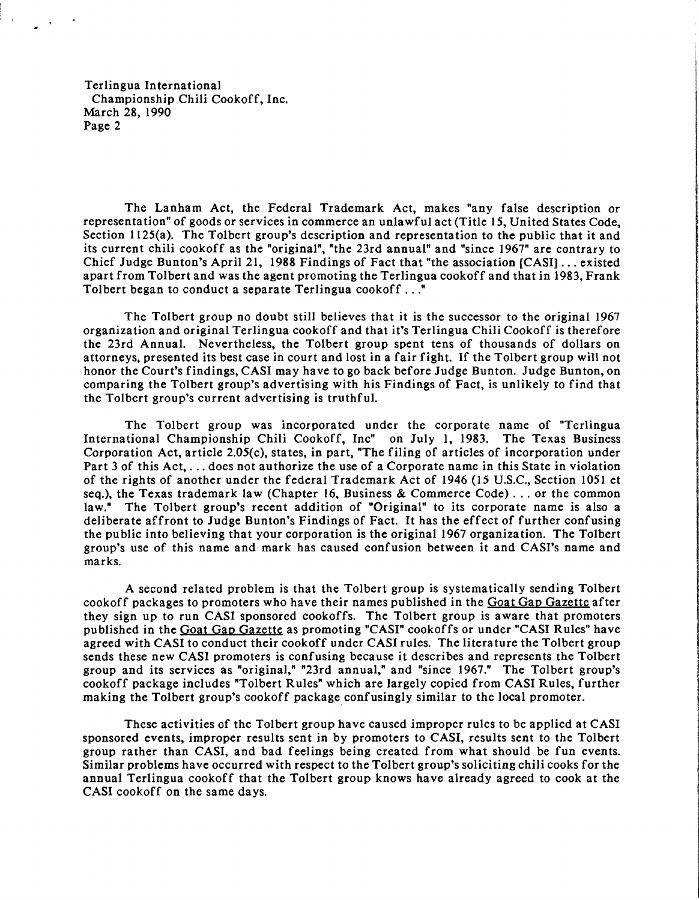Terlingua International Championship Chili Cookoff, Inc. March 28, 1990 Page 2

The Lanham Act, the Federal Trademark Act, makes "any false description or representation" of goods or services in commerce an unlawful act (Title 15, United States Code, Section 1125(a). The Tolbert group's description and representation to the public that it and its current chili cookoff as the "original", "the 23rd annual" and "since 1967" are contrary to Chief Judge Bunton's April 21, 1988 Findings of Fact that "the association [CASI] ... existed apart from Tolbert and was the agent promoting the Terlingua cookoff and that in 1983, Frank Tolbert began to conduct a separate Terlingua cookoff ..."

The Tolbert group no doubt still believes that it is the successor to the original 1967 organization and original Terlingua cookoff and that it's Terlingua Chili Cookoff is therefore the 23rd Annual. Nevertheless, the Tolbert group spent tens of thousands of dollars on attorneys, presented its best case in court and lost in a fair fight. If the Tolbert group will not honor the Court's findings, CASI may have to go back before Judge Bunton. Judge Bunton, on comparing the Tolbert group's advertising with his Findings of Fact, is unlikely to find that the Tolbert group's current advertising is truthful.

The Tolbert group was incorporated under the corporate name of "Terlingua International Championship Chili Cookoff, Inc" on July 1, 1983. The Texas Business Corporation Act, article 2.05(c), states, in part, "The filing of articles of incorporation under Part 3 of this Act, ... does not authorize the use of a Corporate name in this State in violation of the rights of another under the federal Trademark Act of 1946 (I5 U.S.C., Section 1051 et seq.), the Texas trademark law (Chapter 16, Business & Commerce Code) ... or the common law." The Tolbert group's recent addition of "Original" to its corporate name is also a The Tolbert group's recent addition of "Original" to its corporate name is also a deliberate affront to Judge Bunton's Findings of Fact. It has the effect of further confusing the public into believing that your corporation is the original 1967 organization. The Tolbert group's use of this name and mark has caused confusion between it and CASI's name and marks.

A second related problem is that the Tolbert group is systematically sending Tolbert cookoff packages to promoters who have their names published in the Goat Gap Gazette after they sign up to run CASI sponsored cookoffs. The Tolbert group is aware that promoters published in the Goat Gap Gazette as promoting "CASI" cookoffs or under "CASI Rules" have agreed with CASI to conduct their cookoff under CASI rules. The literature the Tolbert group sends these new CASI promoters is confusing because it describes and represents the Tolbert group and its services as "original," "23rd annual," and "since 1967." The Tolbert group's cookoff package includes "Tolbert Rules" which are largely copied from CASI Rules, further making the Tolbert group's cookoff package confusingly similar to the local promoter.

These activities of the Tolbert group have caused improper rules to be applied at CASI sponsored events, improper results sent in by promoters to CASI, results sent to the Tolbert group rather than CASI, and bad feelings being created from what should be fun events. Similar problems have occurred with respect to the Tolbert group's soliciting chili cooks for the annual Terlingua cookoff that the Tolbert group knows have already agreed to cook at the CASI cookoff on the same days.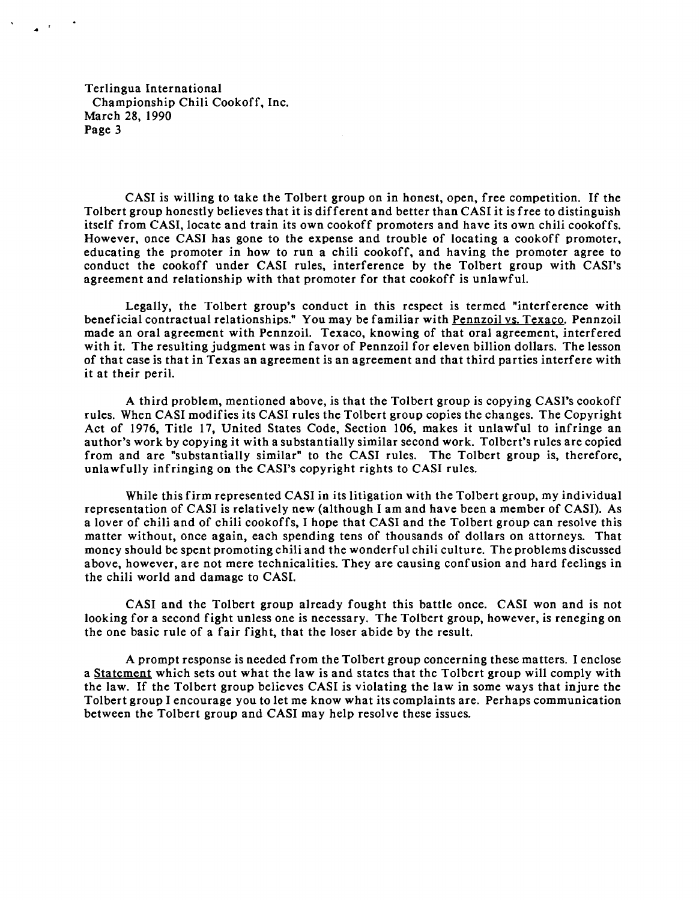Terlingua International Championship Chili Cookoff, Inc. March 28, 1990 Page 3

..

CASI is willing to take the Tolbert group on in honest, open, free competition. If the Tolbert group honestly believes that it is different and better than CASI it is free to distinguish itself from CASI, locate and train its own cookoff promoters and have its own chili cookoffs. However, once CASI has gone to the expense and trouble of locating a cookoff promoter, educating the promoter in how to run a chili cookoff, and having the promoter agree to conduct the cookoff under CASI rules, interference by the Tolbert group with CASI's agreement and relationship with that promoter for that cookoff is unlawful.

Legally, the Tolbert group's conduct in this respect is termed "interference with beneficial contractual relationships." You may be familiar with Pennzoil vs. Texaco. Pennzoil made an oral agreement with Pennzoil. Texaco, knowing of that oral agreement, interfered with it. The resulting judgment was in favor of Pennzoil for eleven billion dollars. The lesson of that case is that in Texas an agreement is an agreement and that third parties interfere with it at their peril.

A third problem, mentioned above, is that the Tolbert group is copying CASI's cookoff rules. When CASI modifies its CASI rules the Tolbert group copies the changes. The Copyright Act of 1976, Title 17, United States Code, Section 106, makes it unlawful to infringe an author's work by copying it with a substantially similar second work. Tolbert's rules are copied from and are "substantially similar" to the CASI rules. The Tolbert group is, therefore, unlawfully infringing on the CASI's copyright rights to CASI rules.

While this firm represented CASI in its litigation with the Tolbert group, my individual representation of CASI is relatively new (although I am and have been a member of CASI). As a lover of chili and of chili cookoffs, I hope that CASI and the Tolbert group can resolve this matter without, once again, each spending tens of thousands of dollars on attorneys. That money should be spent promoting chili and the wonderful chili culture. The problems discussed above, however, are not mere technicalities. They are causing confusion and hard feelings in the chili world and damage to CAS!.

CASI and the Tolbert group already fought this battle once. CASI won and is not looking for a second fight unless one is necessary. The Tolbert group, however, is reneging on the one basic rule of a fair fight, that the loser abide by the result.

A prompt response is needed from the Tolbert group concerning these matters. I enclose a Statement which sets out what the law is and states that the Tolbert group will comply with the law. If the Tolbert group believes CASI is violating the law in some ways that injure the Tolbert group I encourage you to let me know what its complaints are. Perhaps communication between the Tolbert group and CASI may help resolve these issues.